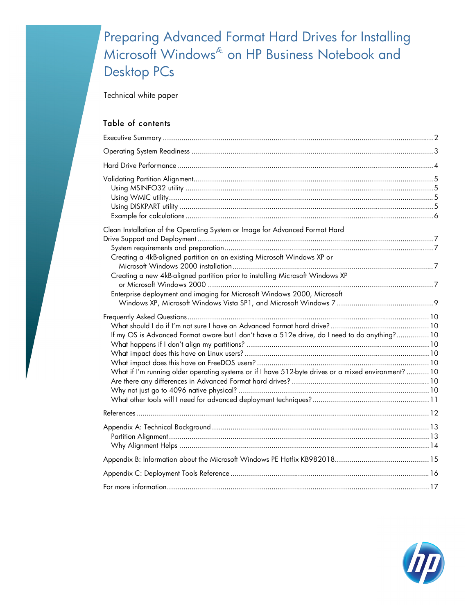# Preparing Advanced Format Hard Drives for Installing Microsoft WindowsÆ on HP Business Notebook and Desktop PCs

Technical white paper

#### Table of contents

| Clean Installation of the Operating System or Image for Advanced Format Hard<br>Creating a 4kB-aligned partition on an existing Microsoft Windows XP or<br>Creating a new 4kB-aligned partition prior to installing Microsoft Windows XP |  |
|------------------------------------------------------------------------------------------------------------------------------------------------------------------------------------------------------------------------------------------|--|
| Enterprise deployment and imaging for Microsoft Windows 2000, Microsoft                                                                                                                                                                  |  |
| If my OS is Advanced Format aware but I don't have a 512e drive, do I need to do anything?10<br>What if I'm running older operating systems or if I have 512-byte drives or a mixed environment?  10                                     |  |
|                                                                                                                                                                                                                                          |  |
|                                                                                                                                                                                                                                          |  |
|                                                                                                                                                                                                                                          |  |
|                                                                                                                                                                                                                                          |  |

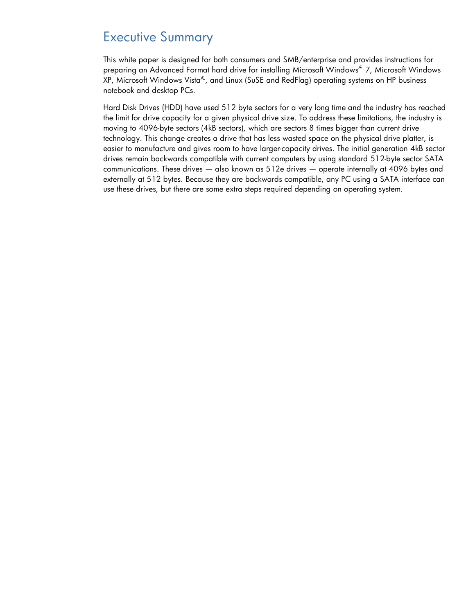## Executive Summary

This white paper is designed for both consumers and SMB/enterprise and provides instructions for preparing an Advanced Format hard drive for installing Microsoft Windows<sup>Æ</sup> 7, Microsoft Windows  $XP$ , Microsoft Windows Vista<sup> $\epsilon$ </sup>, and Linux (SuSE and RedFlag) operating systems on HP business notebook and desktop PCs.

Hard Disk Drives (HDD) have used 512 byte sectors for a very long time and the industry has reached the limit for drive capacity for a given physical drive size. To address these limitations, the industry is moving to 4096-byte sectors (4kB sectors), which are sectors 8 times bigger than current drive technology. This change creates a drive that has less wasted space on the physical drive platter, is easier to manufacture and gives room to have larger-capacity drives. The initial generation 4kB sector drives remain backwards compatible with current computers by using standard 512-byte sector SATA communications. These drives — also known as 512e drives — operate internally at 4096 bytes and externally at 512 bytes. Because they are backwards compatible, any PC using a SATA interface can use these drives, but there are some extra steps required depending on operating system.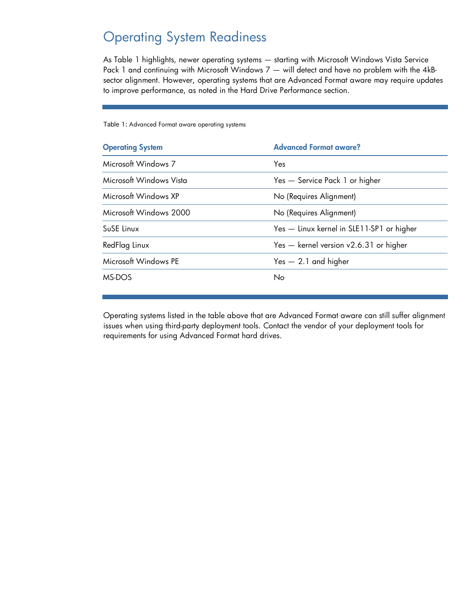# Operating System Readiness

As Table 1 highlights, newer operating systems — starting with Microsoft Windows Vista Service Pack 1 and continuing with Microsoft Windows 7 — will detect and have no problem with the 4kBsector alignment. However, operating systems that are Advanced Format aware may require updates to improve performance, as noted in the Hard Drive Performance section.

| <b>Operating System</b> | <b>Advanced Format aware?</b>             |
|-------------------------|-------------------------------------------|
| Microsoft Windows 7     | Yes                                       |
| Microsoft Windows Vista | Yes - Service Pack 1 or higher            |
| Microsoft Windows XP    | No (Requires Alignment)                   |
| Microsoft Windows 2000  | No (Requires Alignment)                   |
| SuSE Linux              | Yes - Linux kernel in SLE11-SP1 or higher |
| RedFlag Linux           | Yes - kernel version v2.6.31 or higher    |
| Microsoft Windows PE    | $Yes - 2.1$ and higher                    |
| MS-DOS                  | No                                        |

Table 1: Advanced Format aware operating systems

Operating systems listed in the table above that are Advanced Format aware can still suffer alignment issues when using third-party deployment tools. Contact the vendor of your deployment tools for requirements for using Advanced Format hard drives.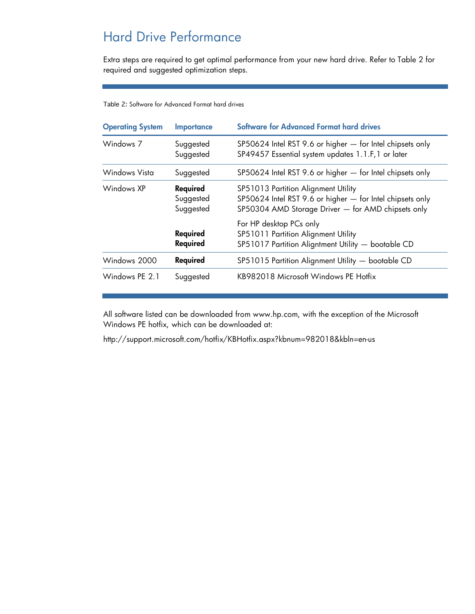# Hard Drive Performance

Extra steps are required to get optimal performance from your new hard drive. Refer to Table 2 for required and suggested optimization steps.

Table 2: Software for Advanced Format hard drives

| <b>Operating System</b> | <b>Importance</b>                  | <b>Software for Advanced Format hard drives</b>                                                                                                        |  |
|-------------------------|------------------------------------|--------------------------------------------------------------------------------------------------------------------------------------------------------|--|
| Windows 7               | Suggested<br>Suggested             | SP50624 Intel RST 9.6 or higher - for Intel chipsets only<br>SP49457 Essential system updates 1.1.F,1 or later                                         |  |
| Windows Vista           | Suggested                          | SP50624 Intel RST 9.6 or higher - for Intel chipsets only                                                                                              |  |
| Windows XP              | Required<br>Suggested<br>Suggested | SP51013 Partition Alignment Utility<br>SP50624 Intel RST 9.6 or higher - for Intel chipsets only<br>SP50304 AMD Storage Driver - for AMD chipsets only |  |
|                         | Required<br>Required               | For HP desktop PCs only<br>SP51011 Partition Alignment Utility<br>SP51017 Partition Aligntment Utility - bootable CD                                   |  |
| Windows 2000            | Required                           | SP51015 Partition Alignment Utility - bootable CD                                                                                                      |  |
| Windows PE 2.1          | Suggested                          | KB982018 Microsoft Windows PE Hotfix                                                                                                                   |  |

All software listed can be downloaded from www.hp.com, with the exception of the Microsoft Windows PE hotfix, which can be downloaded at:

http://support.microsoft.com/hotfix/KBHotfix.aspx?kbnum=982018&kbln=en-us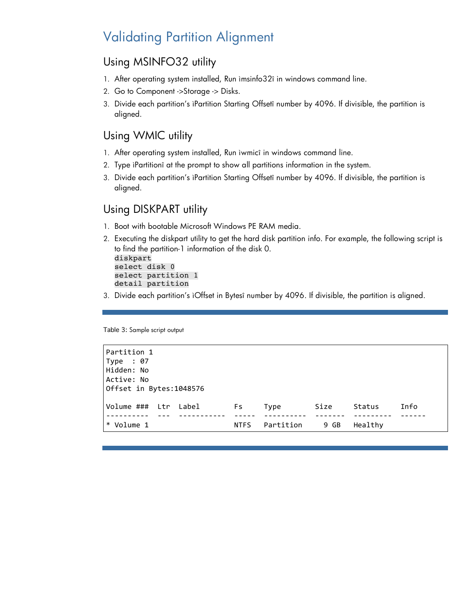# Validating Partition Alignment

#### Using MSINFO32 utility

- 1. After operating system installed, Run ìmsinfo32î in windows command line.
- 2. Go to Component ->Storage -> Disks.
- 3. Divide each partition's ìPartition Starting Offsetî number by 4096. If divisible, the partition is aligned.

#### Using WMIC utility

- 1. After operating system installed, Run ìwmicî in windows command line.
- 2. Type ìPartitionî at the prompt to show all partitions information in the system.
- 3. Divide each partition's ìPartition Starting Offsetî number by 4096. If divisible, the partition is aligned.

#### Using DISKPART utility

- 1. Boot with bootable Microsoft Windows PE RAM media.
- 2. Executing the diskpart utility to get the hard disk partition info. For example, the following script is to find the partition-1 information of the disk 0. diskpart select disk 0 select partition 1 detail partition
- 3. Divide each partition's ìOffset in Bytesî number by 4096. If divisible, the partition is aligned.

Table 3: Sample script output

```
Partition
1
Type : 07
Hidden:
No
Active:
No
Offset
in
Bytes:1048576
Volume ### Ltr Label Fs Type Size Status Info
‐‐‐‐‐‐‐‐‐‐

‐‐‐

‐‐‐‐‐‐‐‐‐‐‐

‐‐‐‐‐

‐‐‐‐‐‐‐‐‐‐

‐‐‐‐‐‐‐

‐‐‐‐‐‐‐‐‐

‐‐‐‐‐‐
* Volume 1 TFS Partition 9 GB Healthy
```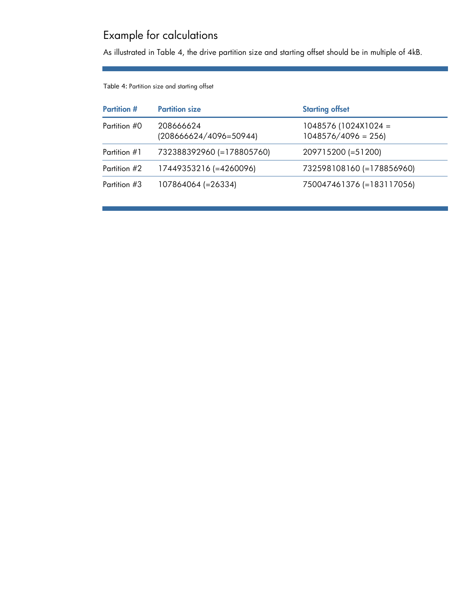# Example for calculations

As illustrated in Table 4, the drive partition size and starting offset should be in multiple of 4kB.

Table 4: Partition size and starting offset

| <b>Partition #</b> | <b>Partition size</b>               | <b>Starting offset</b>                        |
|--------------------|-------------------------------------|-----------------------------------------------|
| Partition #0       | 208666624<br>(208666624/4096=50944) | $1048576(1024X1024 =$<br>$1048576/4096 = 256$ |
| Partition #1       | 732388392960 (=178805760)           | 209715200 (=51200)                            |
| Partition #2       | 17449353216 (=4260096)              | 732598108160 (=178856960)                     |
| Partition #3       | 107864064 (=26334)                  | 750047461376 (=183117056)                     |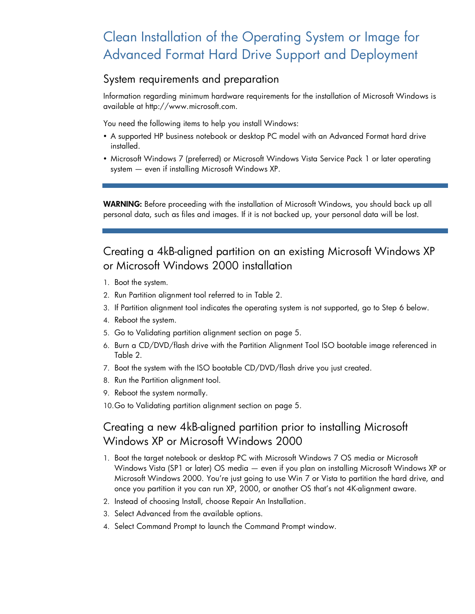# Clean Installation of the Operating System or Image for Advanced Format Hard Drive Support and Deployment

#### System requirements and preparation

Information regarding minimum hardware requirements for the installation of Microsoft Windows is available at http://www.microsoft.com.

You need the following items to help you install Windows:

- A supported HP business notebook or desktop PC model with an Advanced Format hard drive installed.
- Microsoft Windows 7 (preferred) or Microsoft Windows Vista Service Pack 1 or later operating system — even if installing Microsoft Windows XP.

WARNING: Before proceeding with the installation of Microsoft Windows, you should back up all personal data, such as files and images. If it is not backed up, your personal data will be lost.

## Creating a 4kB-aligned partition on an existing Microsoft Windows XP or Microsoft Windows 2000 installation

- 1. Boot the system.
- 2. Run Partition alignment tool referred to in Table 2.
- 3. If Partition alignment tool indicates the operating system is not supported, go to Step 6 below.
- 4. Reboot the system.
- 5. Go to Validating partition alignment section on page 5.
- 6. Burn a CD/DVD/flash drive with the Partition Alignment Tool ISO bootable image referenced in Table 2.
- 7. Boot the system with the ISO bootable CD/DVD/flash drive you just created.
- 8. Run the Partition alignment tool.
- 9. Reboot the system normally.
- 10.Go to Validating partition alignment section on page 5.

### Creating a new 4kB-aligned partition prior to installing Microsoft Windows XP or Microsoft Windows 2000

- 1. Boot the target notebook or desktop PC with Microsoft Windows 7 OS media or Microsoft Windows Vista (SP1 or later) OS media — even if you plan on installing Microsoft Windows XP or Microsoft Windows 2000. You're just going to use Win 7 or Vista to partition the hard drive, and once you partition it you can run XP, 2000, or another OS that's not 4K-alignment aware.
- 2. Instead of choosing Install, choose Repair An Installation.
- 3. Select Advanced from the available options.
- 4. Select Command Prompt to launch the Command Prompt window.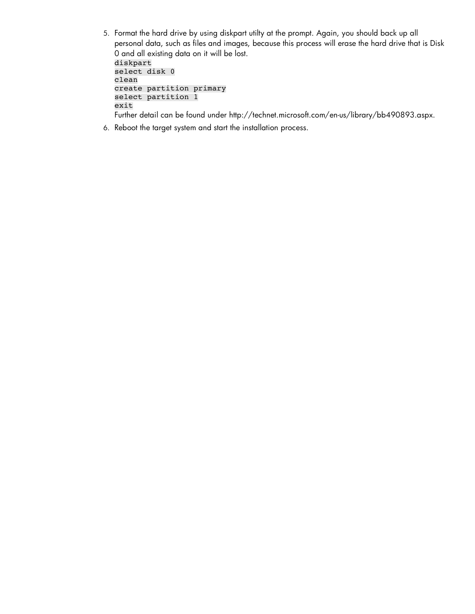- 5. Format the hard drive by using diskpart utilty at the prompt. Again, you should back up all personal data, such as files and images, because this process will erase the hard drive that is Disk 0 and all existing data on it will be lost. diskpart select disk 0 clean create partition primary select partition 1 exit Further detail can be found under http://technet.microsoft.com/en-us/library/bb490893.aspx.
- 6. Reboot the target system and start the installation process.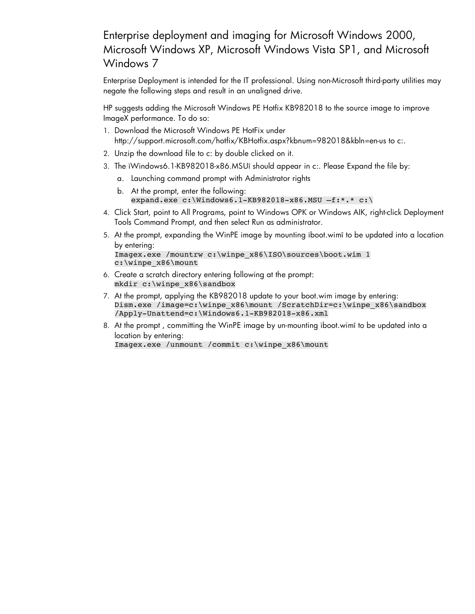## Enterprise deployment and imaging for Microsoft Windows 2000, Microsoft Windows XP, Microsoft Windows Vista SP1, and Microsoft Windows 7

Enterprise Deployment is intended for the IT professional. Using non-Microsoft third-party utilities may negate the following steps and result in an unaligned drive.

HP suggests adding the Microsoft Windows PE Hotfix KB982018 to the source image to improve ImageX performance. To do so:

- 1. Download the Microsoft Windows PE HotFix under http://support.microsoft.com/hotfix/KBHotfix.aspx?kbnum=982018&kbln=en-us to c:.
- 2. Unzip the download file to c: by double clicked on it.
- 3. The ìWindows6.1-KB982018-x86.MSUî should appear in c:. Please Expand the file by:
	- a. Launching command prompt with Administrator rights
	- b. At the prompt, enter the following: expand.exe c:\Windows6.1-KB982018-x86.MSU –f:\*.\* c:\
- 4. Click Start, point to All Programs, point to Windows OPK or Windows AIK, right-click Deployment Tools Command Prompt, and then select Run as administrator.
- 5. At the prompt, expanding the WinPE image by mounting ìboot.wimî to be updated into a location by entering: Imagex.exe /mountrw c:\winpe\_x86\ISO\sources\boot.wim 1

c:\winpe\_x86\mount

- 6. Create a scratch directory entering following at the prompt: mkdir c:\winpe\_x86\sandbox
- 7. At the prompt, applying the KB982018 update to your boot.wim image by entering: Dism.exe /image=c:\winpe\_x86\mount /ScratchDir=c:\winpe\_x86\sandbox /Apply-Unattend=c:\Windows6.1-KB982018-x86.xml
- 8. At the prompt , committing the WinPE image by un-mounting ìboot.wimî to be updated into a location by entering: Imagex.exe /unmount /commit c:\winpe\_x86\mount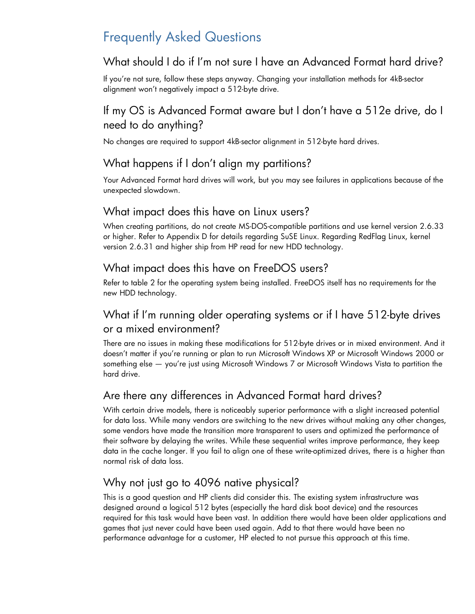# Frequently Asked Questions

## What should I do if I'm not sure I have an Advanced Format hard drive?

If you're not sure, follow these steps anyway. Changing your installation methods for 4kB-sector alignment won't negatively impact a 512-byte drive.

## If my OS is Advanced Format aware but I don't have a 512e drive, do I need to do anything?

No changes are required to support 4kB-sector alignment in 512-byte hard drives.

#### What happens if I don't align my partitions?

Your Advanced Format hard drives will work, but you may see failures in applications because of the unexpected slowdown.

#### What impact does this have on Linux users?

When creating partitions, do not create MS-DOS-compatible partitions and use kernel version 2.6.33 or higher. Refer to Appendix D for details regarding SuSE Linux. Regarding RedFlag Linux, kernel version 2.6.31 and higher ship from HP read for new HDD technology.

#### What impact does this have on FreeDOS users?

Refer to table 2 for the operating system being installed. FreeDOS itself has no requirements for the new HDD technology.

## What if I'm running older operating systems or if I have 512-byte drives or a mixed environment?

There are no issues in making these modifications for 512-byte drives or in mixed environment. And it doesn't matter if you're running or plan to run Microsoft Windows XP or Microsoft Windows 2000 or something else — you're just using Microsoft Windows 7 or Microsoft Windows Vista to partition the hard drive.

## Are there any differences in Advanced Format hard drives?

With certain drive models, there is noticeably superior performance with a slight increased potential for data loss. While many vendors are switching to the new drives without making any other changes, some vendors have made the transition more transparent to users and optimized the performance of their software by delaying the writes. While these sequential writes improve performance, they keep data in the cache longer. If you fail to align one of these write-optimized drives, there is a higher than normal risk of data loss.

## Why not just go to 4096 native physical?

This is a good question and HP clients did consider this. The existing system infrastructure was designed around a logical 512 bytes (especially the hard disk boot device) and the resources required for this task would have been vast. In addition there would have been older applications and games that just never could have been used again. Add to that there would have been no performance advantage for a customer, HP elected to not pursue this approach at this time.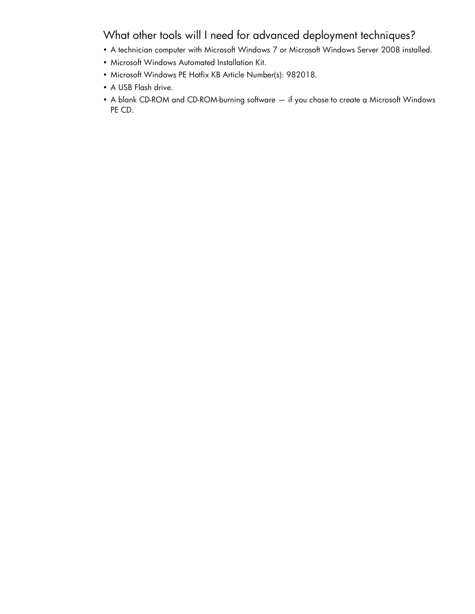## What other tools will I need for advanced deployment techniques?

- A technician computer with Microsoft Windows 7 or Microsoft Windows Server 2008 installed.
- Microsoft Windows Automated Installation Kit.
- Microsoft Windows PE Hotfix KB Article Number(s): 982018.
- A USB Flash drive.
- A blank CD-ROM and CD-ROM-burning software if you chose to create a Microsoft Windows PE CD.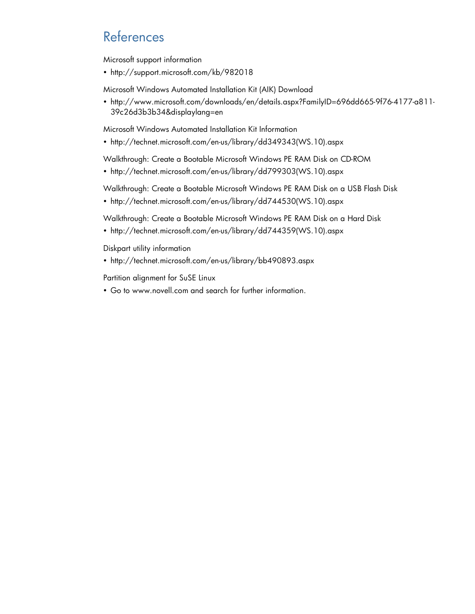## References

Microsoft support information

• http://support.microsoft.com/kb/982018

Microsoft Windows Automated Installation Kit (AIK) Download

• http://www.microsoft.com/downloads/en/details.aspx?FamilyID=696dd665-9f76-4177-a811- 39c26d3b3b34&displaylang=en

Microsoft Windows Automated Installation Kit Information

• http://technet.microsoft.com/en-us/library/dd349343(WS.10).aspx

Walkthrough: Create a Bootable Microsoft Windows PE RAM Disk on CD-ROM

• http://technet.microsoft.com/en-us/library/dd799303(WS.10).aspx

Walkthrough: Create a Bootable Microsoft Windows PE RAM Disk on a USB Flash Disk

• http://technet.microsoft.com/en-us/library/dd744530(WS.10).aspx

Walkthrough: Create a Bootable Microsoft Windows PE RAM Disk on a Hard Disk

• http://technet.microsoft.com/en-us/library/dd744359(WS.10).aspx

Diskpart utility information

• http://technet.microsoft.com/en-us/library/bb490893.aspx

Partition alignment for SuSE Linux

• Go to www.novell.com and search for further information.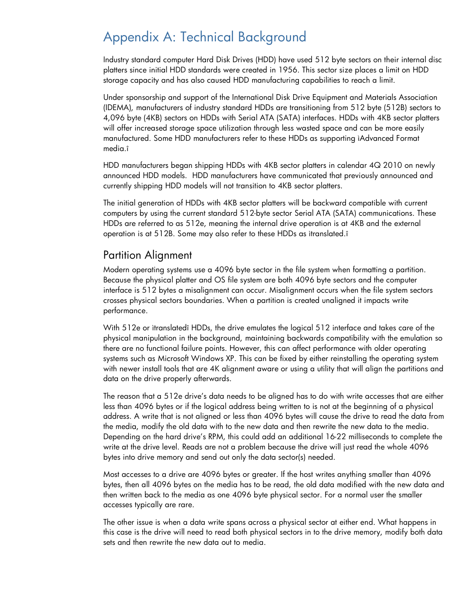# Appendix A: Technical Background

Industry standard computer Hard Disk Drives (HDD) have used 512 byte sectors on their internal disc platters since initial HDD standards were created in 1956. This sector size places a limit on HDD storage capacity and has also caused HDD manufacturing capabilities to reach a limit.

Under sponsorship and support of the International Disk Drive Equipment and Materials Association (IDEMA), manufacturers of industry standard HDDs are transitioning from 512 byte (512B) sectors to 4,096 byte (4KB) sectors on HDDs with Serial ATA (SATA) interfaces. HDDs with 4KB sector platters will offer increased storage space utilization through less wasted space and can be more easily manufactured. Some HDD manufacturers refer to these HDDs as supporting ìAdvanced Format media.î

HDD manufacturers began shipping HDDs with 4KB sector platters in calendar 4Q 2010 on newly announced HDD models. HDD manufacturers have communicated that previously announced and currently shipping HDD models will not transition to 4KB sector platters.

The initial generation of HDDs with 4KB sector platters will be backward compatible with current computers by using the current standard 512-byte sector Serial ATA (SATA) communications. These HDDs are referred to as 512e, meaning the internal drive operation is at 4KB and the external operation is at 512B. Some may also refer to these HDDs as ìtranslated.î

#### Partition Alignment

Modern operating systems use a 4096 byte sector in the file system when formatting a partition. Because the physical platter and OS file system are both 4096 byte sectors and the computer interface is 512 bytes a misalignment can occur. Misalignment occurs when the file system sectors crosses physical sectors boundaries. When a partition is created unaligned it impacts write performance.

With 512e or ìtranslatedî HDDs, the drive emulates the logical 512 interface and takes care of the physical manipulation in the background, maintaining backwards compatibility with the emulation so there are no functional failure points. However, this can affect performance with older operating systems such as Microsoft Windows XP. This can be fixed by either reinstalling the operating system with newer install tools that are 4K alignment aware or using a utility that will align the partitions and data on the drive properly afterwards.

The reason that a 512e drive's data needs to be aligned has to do with write accesses that are either less than 4096 bytes or if the logical address being written to is not at the beginning of a physical address. A write that is not aligned or less than 4096 bytes will cause the drive to read the data from the media, modify the old data with to the new data and then rewrite the new data to the media. Depending on the hard drive's RPM, this could add an additional 16-22 milliseconds to complete the write at the drive level. Reads are not a problem because the drive will just read the whole 4096 bytes into drive memory and send out only the data sector(s) needed.

Most accesses to a drive are 4096 bytes or greater. If the host writes anything smaller than 4096 bytes, then all 4096 bytes on the media has to be read, the old data modified with the new data and then written back to the media as one 4096 byte physical sector. For a normal user the smaller accesses typically are rare.

The other issue is when a data write spans across a physical sector at either end. What happens in this case is the drive will need to read both physical sectors in to the drive memory, modify both data sets and then rewrite the new data out to media.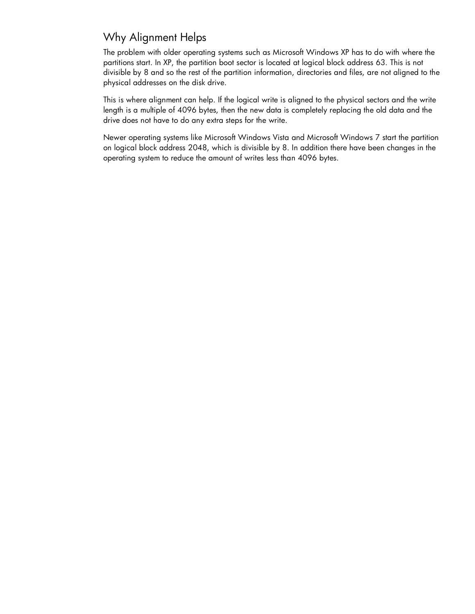### Why Alignment Helps

The problem with older operating systems such as Microsoft Windows XP has to do with where the partitions start. In XP, the partition boot sector is located at logical block address 63. This is not divisible by 8 and so the rest of the partition information, directories and files, are not aligned to the physical addresses on the disk drive.

This is where alignment can help. If the logical write is aligned to the physical sectors and the write length is a multiple of 4096 bytes, then the new data is completely replacing the old data and the drive does not have to do any extra steps for the write.

Newer operating systems like Microsoft Windows Vista and Microsoft Windows 7 start the partition on logical block address 2048, which is divisible by 8. In addition there have been changes in the operating system to reduce the amount of writes less than 4096 bytes.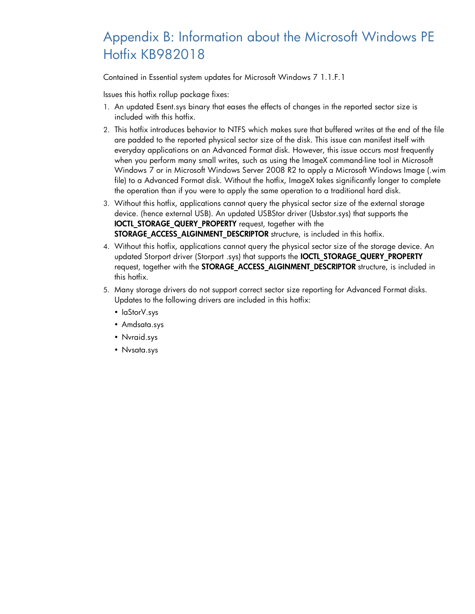# Appendix B: Information about the Microsoft Windows PE Hotfix KB982018

Contained in Essential system updates for Microsoft Windows 7 1.1.F.1

Issues this hotfix rollup package fixes:

- 1. An updated Esent.sys binary that eases the effects of changes in the reported sector size is included with this hotfix.
- 2. This hotfix introduces behavior to NTFS which makes sure that buffered writes at the end of the file are padded to the reported physical sector size of the disk. This issue can manifest itself with everyday applications on an Advanced Format disk. However, this issue occurs most frequently when you perform many small writes, such as using the ImageX command-line tool in Microsoft Windows 7 or in Microsoft Windows Server 2008 R2 to apply a Microsoft Windows Image (.wim file) to a Advanced Format disk. Without the hotfix, ImageX takes significantly longer to complete the operation than if you were to apply the same operation to a traditional hard disk.
- 3. Without this hotfix, applications cannot query the physical sector size of the external storage device. (hence external USB). An updated USBStor driver (Usbstor.sys) that supports the IOCTL\_STORAGE\_QUERY\_PROPERTY request, together with the STORAGE\_ACCESS\_ALGINMENT\_DESCRIPTOR structure, is included in this hotfix.
- 4. Without this hotfix, applications cannot query the physical sector size of the storage device. An updated Storport driver (Storport .sys) that supports the IOCTL\_STORAGE\_QUERY\_PROPERTY request, together with the **STORAGE\_ACCESS\_ALGINMENT\_DESCRIPTOR** structure, is included in this hotfix.
- 5. Many storage drivers do not support correct sector size reporting for Advanced Format disks. Updates to the following drivers are included in this hotfix:
	- IaStorV.sys
	- Amdsata.sys
	- Nvraid.sys
	- Nvsata.sys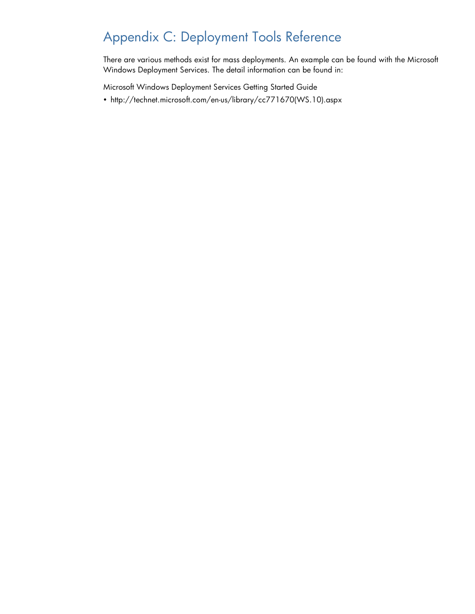# Appendix C: Deployment Tools Reference

There are various methods exist for mass deployments. An example can be found with the Microsoft Windows Deployment Services. The detail information can be found in:

Microsoft Windows Deployment Services Getting Started Guide

• http://technet.microsoft.com/en-us/library/cc771670(WS.10).aspx